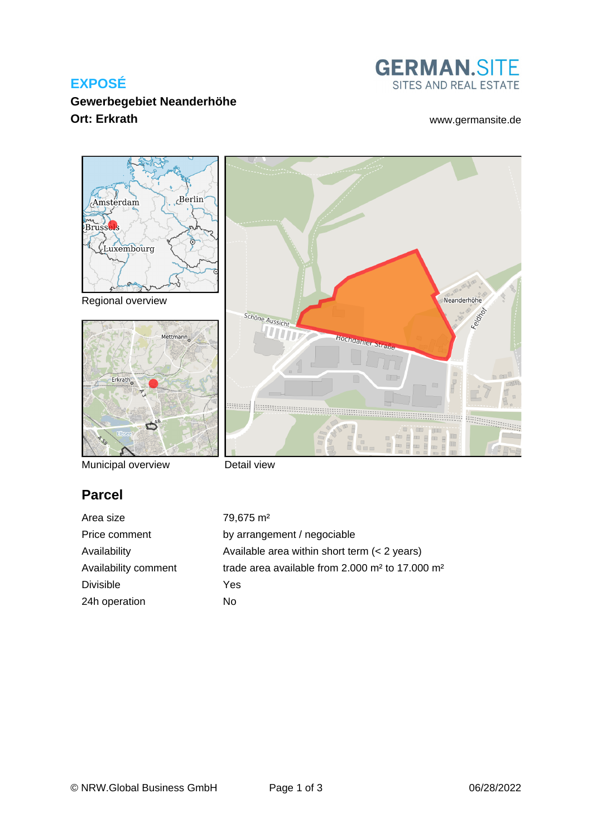### **EXPOSÉ**

**Gewerbegebiet Neanderhöhe Ort: Erkrath** [www.germansite.de](http://www.germansite.de)

# **GERMAN.SITE** SITES AND REAL ESTATE



Municipal overview

Detail view

# **Parcel**

Area size 79,675 m<sup>2</sup> Divisible Yes 24h operation No

Price comment by arrangement / negociable Availability Available area within short term (< 2 years) Availability comment trade area available from 2.000 m<sup>2</sup> to 17.000 m<sup>2</sup>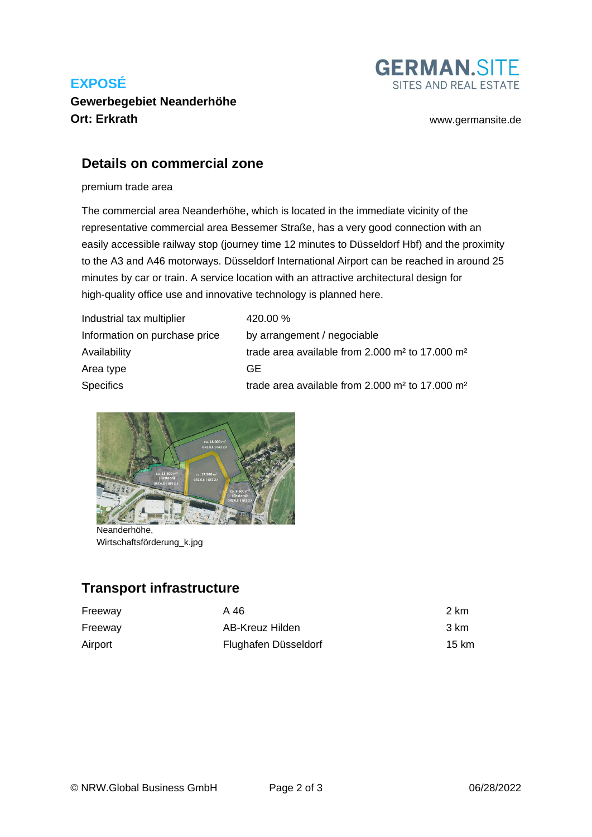# **EXPOSÉ**



### **Gewerbegebiet Neanderhöhe Ort: Erkrath** [www.germansite.de](http://www.germansite.de)

### **Details on commercial zone**

premium trade area

The commercial area Neanderhöhe, which is located in the immediate vicinity of the representative commercial area Bessemer Straße, has a very good connection with an easily accessible railway stop (journey time 12 minutes to Düsseldorf Hbf) and the proximity to the A3 and A46 motorways. Düsseldorf International Airport can be reached in around 25 minutes by car or train. A service location with an attractive architectural design for high-quality office use and innovative technology is planned here.

| Industrial tax multiplier     | 420.00 %                                                                  |
|-------------------------------|---------------------------------------------------------------------------|
| Information on purchase price | by arrangement / negociable                                               |
| Availability                  | trade area available from $2.000$ m <sup>2</sup> to 17.000 m <sup>2</sup> |
| Area type                     | GE.                                                                       |
| <b>Specifics</b>              | trade area available from 2.000 m <sup>2</sup> to 17.000 m <sup>2</sup>   |



Neanderhöhe, Wirtschaftsförderung\_k.jpg

# **Transport infrastructure**

| Freeway | A 46                 | 2 km  |
|---------|----------------------|-------|
| Freeway | AB-Kreuz Hilden      | 3 km  |
| Airport | Flughafen Düsseldorf | 15 km |